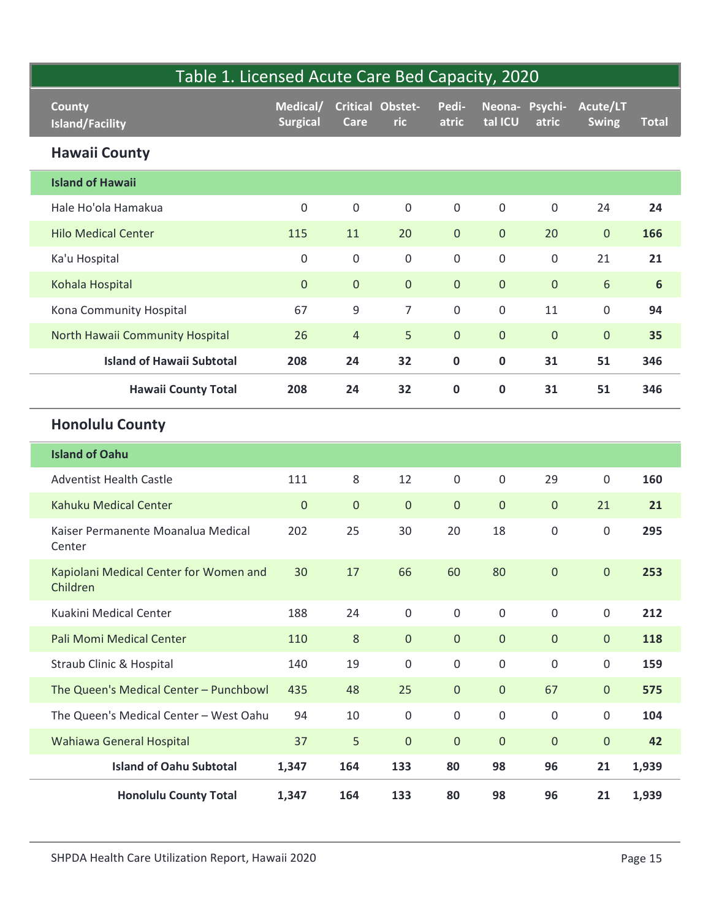| Table 1. Licensed Acute Care Bed Capacity, 2020    |                             |                     |                         |                     |                     |                         |                          |                |
|----------------------------------------------------|-----------------------------|---------------------|-------------------------|---------------------|---------------------|-------------------------|--------------------------|----------------|
| <b>County</b><br><b>Island/Facility</b>            | Medical/<br><b>Surgical</b> | Care                | Critical Obstet-<br>ric | Pedi-<br>atric      | tal ICU             | Neona- Psychi-<br>atric | Acute/LT<br><b>Swing</b> | <b>Total</b>   |
| <b>Hawaii County</b>                               |                             |                     |                         |                     |                     |                         |                          |                |
| <b>Island of Hawaii</b>                            |                             |                     |                         |                     |                     |                         |                          |                |
| Hale Ho'ola Hamakua                                | $\mathsf 0$                 | $\mathsf{O}\xspace$ | $\boldsymbol{0}$        | $\mathsf{O}\xspace$ | $\mathsf{O}\xspace$ | $\mathbf 0$             | 24                       | 24             |
| <b>Hilo Medical Center</b>                         | 115                         | 11                  | 20                      | $\mathbf{0}$        | $\mathbf 0$         | 20                      | $\overline{0}$           | 166            |
| Ka'u Hospital                                      | $\mathsf 0$                 | $\mathsf{O}\xspace$ | $\mathsf{O}\xspace$     | $\mathsf{O}\xspace$ | $\mathsf{O}\xspace$ | $\mathbf 0$             | 21                       | 21             |
| Kohala Hospital                                    | $\mathbf{0}$                | $\mathbf 0$         | $\mathbf 0$             | $\pmb{0}$           | $\mathbf 0$         | $\mathbf{0}$            | $6\,$                    | $6\phantom{1}$ |
| Kona Community Hospital                            | 67                          | 9                   | $\overline{7}$          | $\mathsf{O}\xspace$ | $\mathsf{O}\xspace$ | 11                      | $\mathsf{O}\xspace$      | 94             |
| North Hawaii Community Hospital                    | 26                          | $\overline{4}$      | 5                       | $\overline{0}$      | $\mathbf{0}$        | $\overline{0}$          | $\overline{0}$           | 35             |
| <b>Island of Hawaii Subtotal</b>                   | 208                         | 24                  | 32                      | $\mathbf 0$         | $\mathbf 0$         | 31                      | 51                       | 346            |
| <b>Hawaii County Total</b>                         | 208                         | 24                  | 32                      | $\mathbf 0$         | $\mathbf 0$         | 31                      | 51                       | 346            |
| <b>Honolulu County</b>                             |                             |                     |                         |                     |                     |                         |                          |                |
| <b>Island of Oahu</b>                              |                             |                     |                         |                     |                     |                         |                          |                |
| <b>Adventist Health Castle</b>                     | 111                         | $\,8\,$             | 12                      | $\mathbf 0$         | $\mathsf{O}\xspace$ | 29                      | $\boldsymbol{0}$         | 160            |
| Kahuku Medical Center                              | $\mathbf{0}$                | $\mathbf 0$         | $\mathbf 0$             | $\mathbf 0$         | $\mathsf{O}\xspace$ | $\overline{0}$          | 21                       | 21             |
| Kaiser Permanente Moanalua Medical<br>Center       | 202                         | 25                  | 30                      | 20                  | 18                  | $\mathsf 0$             | $\mathsf{O}\xspace$      | 295            |
| Kapiolani Medical Center for Women and<br>Children | 30                          | 17                  | 66                      | 60                  | 80                  | $\mathbf 0$             | $\mathsf{O}\xspace$      | 253            |
| Kuakini Medical Center                             | 188                         | 24                  | $\mathbf 0$             | $\mathsf{O}\xspace$ | $\mathsf{O}\xspace$ | $\mathsf 0$             | $\mathsf{O}\xspace$      | 212            |
| Pali Momi Medical Center                           | 110                         | $\,8\,$             | $\pmb{0}$               | $\mathbf{0}$        | $\mathsf{O}\xspace$ | $\mathbf 0$             | $\overline{0}$           | 118            |
| Straub Clinic & Hospital                           | 140                         | 19                  | $\mathsf{O}\xspace$     | $\mathbf 0$         | $\mathsf{O}\xspace$ | $\boldsymbol{0}$        | $\mathsf 0$              | 159            |
| The Queen's Medical Center - Punchbowl             | 435                         | 48                  | 25                      | $\mathbf 0$         | $\mathsf{O}\xspace$ | 67                      | $\overline{0}$           | 575            |
| The Queen's Medical Center - West Oahu             | 94                          | 10                  | $\mathbf 0$             | $\mathsf{O}\xspace$ | $\mathsf{O}\xspace$ | $\mathbf 0$             | $\mathsf{O}$             | 104            |
| Wahiawa General Hospital                           | 37                          | $5\phantom{.}$      | $\mathbf 0$             | $\mathbf{0}$        | $\mathbf{0}$        | $\mathbf{0}$            | $\overline{0}$           | 42             |
| <b>Island of Oahu Subtotal</b>                     | 1,347                       | 164                 | 133                     | 80                  | 98                  | 96                      | 21                       | 1,939          |
| <b>Honolulu County Total</b>                       | 1,347                       | 164                 | 133                     | 80                  | 98                  | 96                      | 21                       | 1,939          |
|                                                    |                             |                     |                         |                     |                     |                         |                          |                |